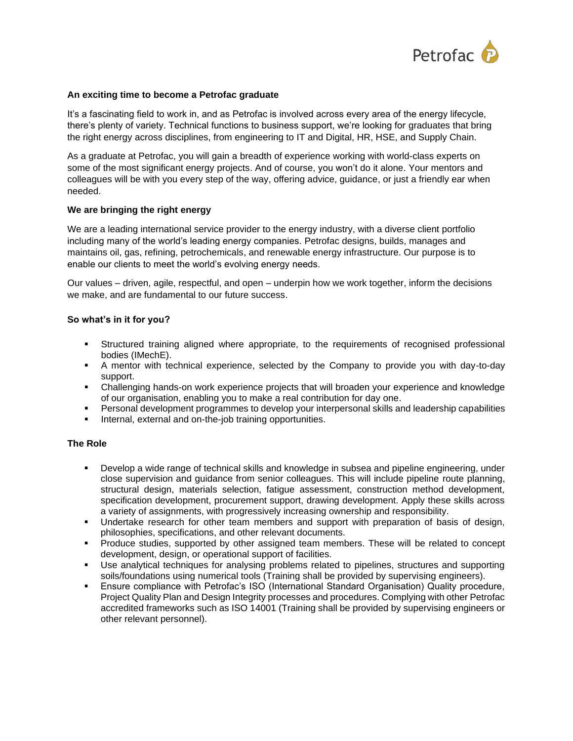

## **An exciting time to become a Petrofac graduate**

It's a fascinating field to work in, and as Petrofac is involved across every area of the energy lifecycle, there's plenty of variety. Technical functions to business support, we're looking for graduates that bring the right energy across disciplines, from engineering to IT and Digital, HR, HSE, and Supply Chain.

As a graduate at Petrofac, you will gain a breadth of experience working with world-class experts on some of the most significant energy projects. And of course, you won't do it alone. Your mentors and colleagues will be with you every step of the way, offering advice, guidance, or just a friendly ear when needed.

## **We are bringing the right energy**

We are a leading international service provider to the energy industry, with a diverse client portfolio including many of the world's leading energy companies. Petrofac designs, builds, manages and maintains oil, gas, refining, petrochemicals, and renewable energy infrastructure. Our purpose is to enable our clients to meet the world's evolving energy needs.

Our values – driven, agile, respectful, and open – underpin how we work together, inform the decisions we make, and are fundamental to our future success.

# **So what's in it for you?**

- **EXECT Structured training aligned where appropriate, to the requirements of recognised professional** bodies (IMechE).
- A mentor with technical experience, selected by the Company to provide you with day-to-day support.
- Challenging hands-on work experience projects that will broaden your experience and knowledge of our organisation, enabling you to make a real contribution for day one.
- Personal development programmes to develop your interpersonal skills and leadership capabilities
- Internal, external and on-the-job training opportunities.

## **The Role**

- Develop a wide range of technical skills and knowledge in subsea and pipeline engineering, under close supervision and guidance from senior colleagues. This will include pipeline route planning, structural design, materials selection, fatigue assessment, construction method development, specification development, procurement support, drawing development. Apply these skills across a variety of assignments, with progressively increasing ownership and responsibility.
- Undertake research for other team members and support with preparation of basis of design, philosophies, specifications, and other relevant documents.
- Produce studies, supported by other assigned team members. These will be related to concept development, design, or operational support of facilities.
- Use analytical techniques for analysing problems related to pipelines, structures and supporting soils/foundations using numerical tools (Training shall be provided by supervising engineers).
- Ensure compliance with Petrofac's ISO (International Standard Organisation) Quality procedure, Project Quality Plan and Design Integrity processes and procedures. Complying with other Petrofac accredited frameworks such as ISO 14001 (Training shall be provided by supervising engineers or other relevant personnel).